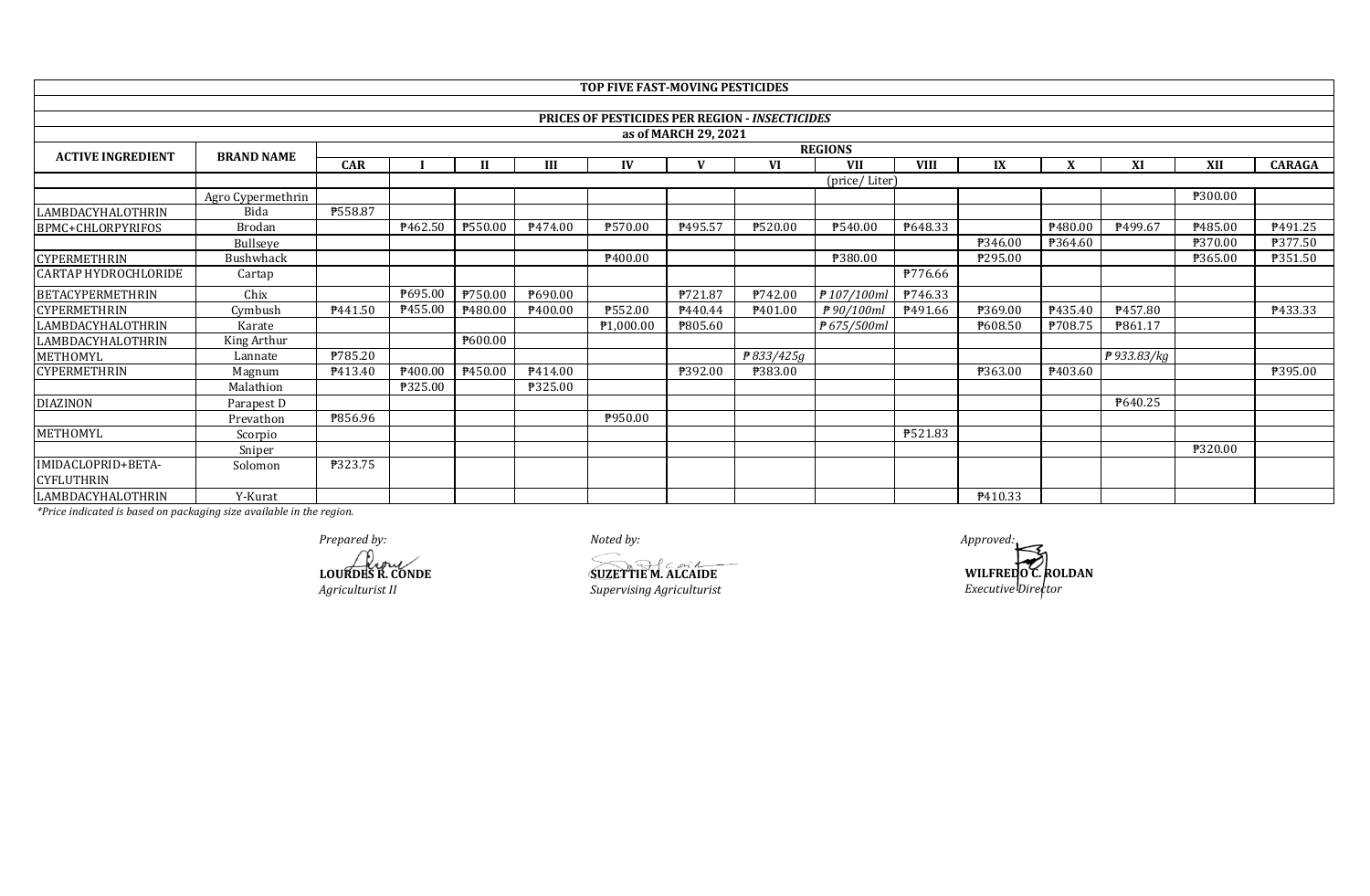|                                         |                   |                |                     |              |                | TOP FIVE FAST-MOVING PESTICIDES |                      |                                                       |                |             |         |                     |                |                     |               |
|-----------------------------------------|-------------------|----------------|---------------------|--------------|----------------|---------------------------------|----------------------|-------------------------------------------------------|----------------|-------------|---------|---------------------|----------------|---------------------|---------------|
|                                         |                   |                |                     |              |                |                                 |                      | <b>PRICES OF PESTICIDES PER REGION - INSECTICIDES</b> |                |             |         |                     |                |                     |               |
|                                         |                   |                |                     |              |                |                                 | as of MARCH 29, 2021 |                                                       |                |             |         |                     |                |                     |               |
|                                         |                   |                |                     |              |                |                                 |                      |                                                       | <b>REGIONS</b> |             |         |                     |                |                     |               |
| <b>ACTIVE INGREDIENT</b>                | <b>BRAND NAME</b> | <b>CAR</b>     |                     | $\mathbf{H}$ | Ш              | IV                              | $\mathbf{V}$         | VI                                                    | <b>VII</b>     | <b>VIII</b> | IX      | X                   | XI             | XII                 | <b>CARAGA</b> |
|                                         |                   |                |                     |              |                |                                 |                      |                                                       | (price/Liter)  |             |         |                     |                |                     |               |
|                                         | Agro Cypermethrin |                |                     |              |                |                                 |                      |                                                       |                |             |         |                     |                | ₱300.00             |               |
| LAMBDACYHALOTHRIN                       | Bida              | ₱558.87        |                     |              |                |                                 |                      |                                                       |                |             |         |                     |                |                     |               |
| BPMC+CHLORPYRIFOS                       | Brodan            |                | P <sub>462.50</sub> | P550.00      | P474.00        | <b>P570.00</b>                  | P495.57              | ₱520.00                                               | P540.00        | P648.33     |         | P480.00             | <b>₱499.67</b> | P <sub>485.00</sub> | P491.25       |
|                                         | Bullseye          |                |                     |              |                |                                 |                      |                                                       |                |             | ₱346.00 | P364.60             |                | ₱370.00             | P377.50       |
| <b>CYPERMETHRIN</b>                     | Bushwhack         |                |                     |              |                | P400.00                         |                      |                                                       | <b>7380.00</b> |             | ₱295.00 |                     |                | ₱365.00             | P351.50       |
| <b>CARTAP HYDROCHLORIDE</b>             | Cartap            |                |                     |              |                |                                 |                      |                                                       |                | P776.66     |         |                     |                |                     |               |
| <b>BETACYPERMETHRIN</b>                 | Chix              |                | P695.00             | ₱750.00      | ₱690.00        |                                 | P721.87              | <b>P742.00</b>                                        | ₱ 107/100ml    | P746.33     |         |                     |                |                     |               |
| <b>CYPERMETHRIN</b>                     | Cymbush           | P441.50        | P455.00             | P480.00      | ₹400.00        | ₹552.00                         | P440.44              | P401.00                                               | ₱90/100ml      | P491.66     | ₹369.00 | P435.40             | P457.80        |                     | P433.33       |
| <b>LAMBDACYHALOTHRIN</b>                | Karate            |                |                     |              |                | 71.000.00                       | <b>\\$805.60</b>     |                                                       | ₱ 675/500ml    |             | P608.50 | P708.75             | P861.17        |                     |               |
| LAMBDACYHALOTHRIN                       | King Arthur       |                |                     | P600.00      |                |                                 |                      |                                                       |                |             |         |                     |                |                     |               |
| METHOMYL                                | Lannate           | ₱785.20        |                     |              |                |                                 |                      | ₱833/425g                                             |                |             |         |                     | ₱ 933.83/kg    |                     |               |
| <b>CYPERMETHRIN</b>                     | Magnum            | P413.40        | $\sqrt{2400.00}$    | P450.00      | P414.00        |                                 | ₱392.00              | ₱383.00                                               |                |             | P363.00 | P <sub>403.60</sub> |                |                     | P395.00       |
|                                         | Malathion         |                | ₱325.00             |              | <b>P325.00</b> |                                 |                      |                                                       |                |             |         |                     |                |                     |               |
| <b>DIAZINON</b>                         | Parapest D        |                |                     |              |                |                                 |                      |                                                       |                |             |         |                     | ₱640.25        |                     |               |
|                                         | Prevathon         | <b>P856.96</b> |                     |              |                | ₹950.00                         |                      |                                                       |                |             |         |                     |                |                     |               |
| METHOMYL                                | Scorpio           |                |                     |              |                |                                 |                      |                                                       |                | ₱521.83     |         |                     |                |                     |               |
|                                         | Sniper            |                |                     |              |                |                                 |                      |                                                       |                |             |         |                     |                | ₱320.00             |               |
| IMIDACLOPRID+BETA-<br><b>CYFLUTHRIN</b> | Solomon           | P323.75        |                     |              |                |                                 |                      |                                                       |                |             |         |                     |                |                     |               |
| LAMBDACYHALOTHRIN                       | Y-Kurat           |                |                     |              |                |                                 |                      |                                                       |                |             | P410.33 |                     |                |                     |               |

*Prepared by:*<br> *Approved:*<br> **Approved:**<br> **EQUED TIE M.ALCAIDE WILFRED**<br> **EQUED TIE M.ALCAIDE** 

*Agriculturist II Supervising Agriculturist* **LOURDES R. CONDE SUZETTIE M. ALCAIDE**

**WILFREDO C. ROLDAN**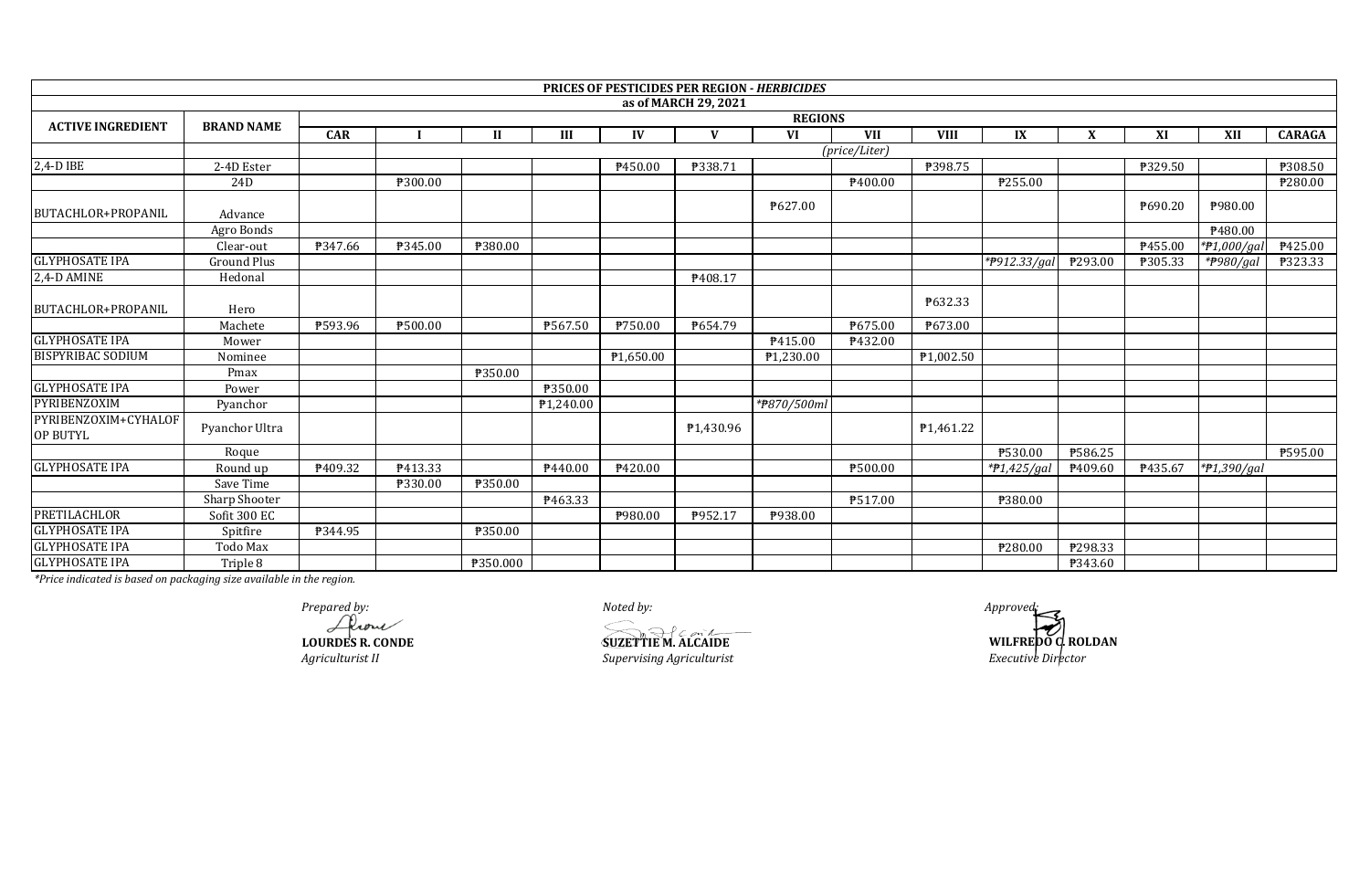|                                  |                    |            |                |              |           |                       |                       | <b>PRICES OF PESTICIDES PER REGION - HERBICIDES</b> |               |                        |                       |         |         |                     |                      |  |  |
|----------------------------------|--------------------|------------|----------------|--------------|-----------|-----------------------|-----------------------|-----------------------------------------------------|---------------|------------------------|-----------------------|---------|---------|---------------------|----------------------|--|--|
|                                  |                    |            |                |              |           |                       | as of MARCH 29, 2021  |                                                     |               |                        |                       |         |         |                     |                      |  |  |
| <b>ACTIVE INGREDIENT</b>         | <b>BRAND NAME</b>  |            | <b>REGIONS</b> |              |           |                       |                       |                                                     |               |                        |                       |         |         |                     |                      |  |  |
|                                  |                    | <b>CAR</b> |                | $\mathbf{H}$ | III       | IV                    | $\mathbf{V}$          | VI                                                  | <b>VII</b>    | <b>VIII</b>            | IX                    | X       | XI      | XII                 | <b>CARAGA</b>        |  |  |
|                                  |                    |            |                |              |           |                       |                       |                                                     | (price/Liter) |                        |                       |         |         |                     |                      |  |  |
| $2,4-D$ IBE                      | 2-4D Ester         |            |                |              |           | P450.00               | P338.71               |                                                     |               | ₱398.75                |                       |         | ₱329.50 |                     | $\overline{P}308.50$ |  |  |
|                                  | 24 <sub>D</sub>    |            | ₱300.00        |              |           |                       |                       |                                                     | P400.00       |                        | ₱255.00               |         |         |                     | P280.00              |  |  |
|                                  |                    |            |                |              |           |                       |                       | ₱627.00                                             |               |                        |                       |         | ₱690.20 | ₱980.00             |                      |  |  |
| BUTACHLOR+PROPANIL               | Advance            |            |                |              |           |                       |                       |                                                     |               |                        |                       |         |         |                     |                      |  |  |
|                                  | Agro Bonds         |            |                |              |           |                       |                       |                                                     |               |                        |                       |         |         | P <sub>480.00</sub> |                      |  |  |
|                                  | Clear-out          | P347.66    | ₱345.00        | ₱380.00      |           |                       |                       |                                                     |               |                        |                       |         | ₹455.00 | $*P1,000/gal$       | ₹425.00              |  |  |
| <b>GLYPHOSATE IPA</b>            | <b>Ground Plus</b> |            |                |              |           |                       |                       |                                                     |               |                        | $\sqrt{*p912.33/gal}$ | P293.00 | ₱305.33 | *#980/gal           | <b>P323.33</b>       |  |  |
| 2,4-D AMINE                      | Hedonal            |            |                |              |           |                       | ₱408.17               |                                                     |               |                        |                       |         |         |                     |                      |  |  |
|                                  |                    |            |                |              |           |                       |                       |                                                     |               | P632.33                |                       |         |         |                     |                      |  |  |
| BUTACHLOR+PROPANIL               | Hero               |            |                |              |           |                       |                       |                                                     |               |                        |                       |         |         |                     |                      |  |  |
|                                  | Machete            | ₱593.96    | ₱500.00        |              | ₱567.50   | ₱750.00               | ₱654.79               |                                                     | ₱675.00       | P673.00                |                       |         |         |                     |                      |  |  |
| <b>GLYPHOSATE IPA</b>            | Mower              |            |                |              |           |                       |                       | P415.00                                             | P432.00       |                        |                       |         |         |                     |                      |  |  |
| <b>BISPYRIBAC SODIUM</b>         | Nominee            |            |                |              |           | P <sub>1,650.00</sub> |                       | P <sub>1,230.00</sub>                               |               | ₱1,002.50              |                       |         |         |                     |                      |  |  |
|                                  | Pmax               |            |                | ₱350.00      |           |                       |                       |                                                     |               |                        |                       |         |         |                     |                      |  |  |
| <b>GLYPHOSATE IPA</b>            | Power              |            |                |              | ₱350.00   |                       |                       |                                                     |               |                        |                       |         |         |                     |                      |  |  |
| PYRIBENZOXIM                     | Pyanchor           |            |                |              | ₱1,240.00 |                       |                       | *#870/500ml                                         |               |                        |                       |         |         |                     |                      |  |  |
| PYRIBENZOXIM+CYHALOF<br>OP BUTYL | Pyanchor Ultra     |            |                |              |           |                       | P <sub>1,430.96</sub> |                                                     |               | P <sub>1</sub> ,461.22 |                       |         |         |                     |                      |  |  |
|                                  | Roque              |            |                |              |           |                       |                       |                                                     |               |                        | ₱530.00               | ₱586.25 |         |                     | ₱595.00              |  |  |
| <b>GLYPHOSATE IPA</b>            | Round up           | ₹409.32    | P413.33        |              | P440.00   | ₱420.00               |                       |                                                     | ₱500.00       |                        | *P1,425/gal           | ₹409.60 | ₹435.67 | $*P1,390/gal$       |                      |  |  |
|                                  | Save Time          |            | ₱330.00        | ₱350.00      |           |                       |                       |                                                     |               |                        |                       |         |         |                     |                      |  |  |
|                                  | Sharp Shooter      |            |                |              | ₱463.33   |                       |                       |                                                     | ₱517.00       |                        | ₱380.00               |         |         |                     |                      |  |  |
| PRETILACHLOR                     | Sofit 300 EC       |            |                |              |           | ₱980.00               | P952.17               | ₱938.00                                             |               |                        |                       |         |         |                     |                      |  |  |
| <b>GLYPHOSATE IPA</b>            | Spitfire           | ₱344.95    |                | ₱350.00      |           |                       |                       |                                                     |               |                        |                       |         |         |                     |                      |  |  |
| <b>GLYPHOSATE IPA</b>            | Todo Max           |            |                |              |           |                       |                       |                                                     |               |                        | ₱280.00               | ₱298.33 |         |                     |                      |  |  |
| <b>GLYPHOSATE IPA</b>            | Triple 8           |            |                | P350.000     |           |                       |                       |                                                     |               |                        |                       | ₱343.60 |         |                     |                      |  |  |

*Prepared by:*<br> *Approved:*<br> **Approved:**<br> **COURDES R. CONDE**<br> **COURDES R. CONDE**<br> **COURDES R. CONDE** 

*Agriculturist II Agriculturist II* **Executive Director** *Execution Cupervising Agriculturist* **LOURDES R. CONDE SUZETTIE M. ALCAIDE**

**WILFREDO C. ROLDAN**<br>Executive Director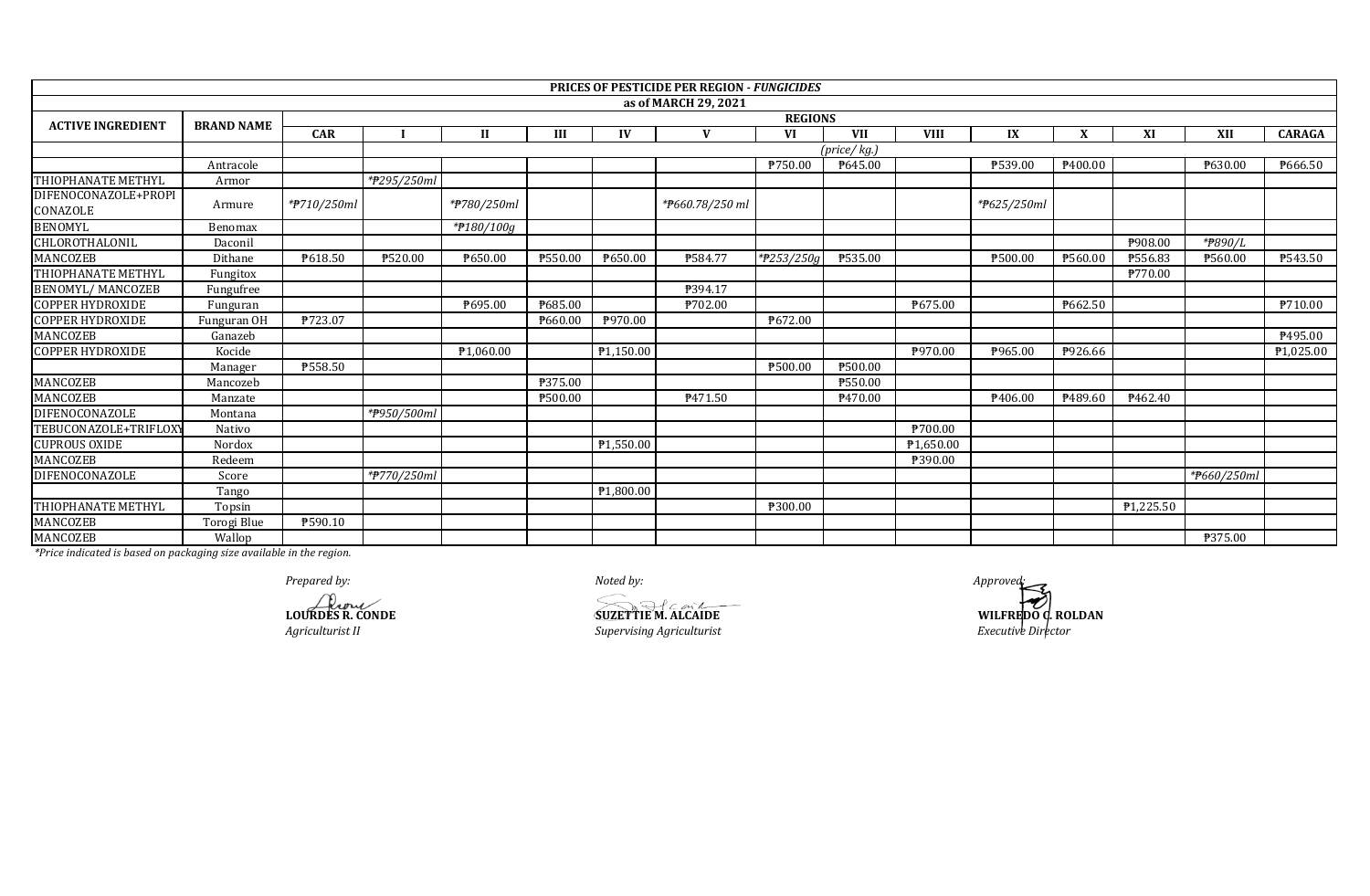|                                  |                   |                |                |              |         |                        | <b>PRICES OF PESTICIDE PER REGION - FUNGICIDES</b> |                |                     |             |             |                     |                |             |               |  |
|----------------------------------|-------------------|----------------|----------------|--------------|---------|------------------------|----------------------------------------------------|----------------|---------------------|-------------|-------------|---------------------|----------------|-------------|---------------|--|
|                                  |                   |                |                |              |         |                        | as of MARCH 29, 2021                               |                |                     |             |             |                     |                |             |               |  |
|                                  | <b>BRAND NAME</b> |                | <b>REGIONS</b> |              |         |                        |                                                    |                |                     |             |             |                     |                |             |               |  |
| <b>ACTIVE INGREDIENT</b>         |                   | <b>CAR</b>     |                | $\mathbf{I}$ | Ш       | IV                     |                                                    | <b>VI</b>      | <b>VII</b>          | <b>VIII</b> | IX          | X                   | XI             | XII         | <b>CARAGA</b> |  |
|                                  |                   |                |                |              |         |                        |                                                    |                | (price/kg.)         |             |             |                     |                |             |               |  |
|                                  | Antracole         |                |                |              |         |                        |                                                    | ₱750.00        | P645.00             |             | ₱539.00     | P <sub>400.00</sub> |                | ₱630.00     | ₱666.50       |  |
| THIOPHANATE METHYL               | Armor             |                | *#295/250ml    |              |         |                        |                                                    |                |                     |             |             |                     |                |             |               |  |
| DIFENOCONAZOLE+PROPI<br>CONAZOLE | Armure            | *#710/250ml    |                | *#780/250ml  |         |                        | *P660.78/250 ml                                    |                |                     |             | *P625/250ml |                     |                |             |               |  |
| <b>BENOMYL</b>                   | Benomax           |                |                | *#180/100g   |         |                        |                                                    |                |                     |             |             |                     |                |             |               |  |
| CHLOROTHALONIL                   | Daconil           |                |                |              |         |                        |                                                    |                |                     |             |             |                     | <b>\908.00</b> | *#890/L     |               |  |
| MANCOZEB                         | Dithane           | P618.50        | ₱520.00        | P650.00      | ₱550.00 | ₱650.00                | ₱584.77                                            | *#253/250g     | ₱535.00             |             | ₱500.00     | ₱560.00             | P556.83        | ₱560.00     | ₱543.50       |  |
| THIOPHANATE METHYL               | Fungitox          |                |                |              |         |                        |                                                    |                |                     |             |             |                     | ₱770.00        |             |               |  |
| <b>BENOMYL/ MANCOZEB</b>         | Fungufree         |                |                |              |         |                        | P394.17                                            |                |                     |             |             |                     |                |             |               |  |
| <b>COPPER HYDROXIDE</b>          | Funguran          |                |                | ₱695.00      | ₱685.00 |                        | P702.00                                            |                |                     | ₱675.00     |             | ₱662.50             |                |             | P710.00       |  |
| <b>COPPER HYDROXIDE</b>          | Funguran OH       | ₱723.07        |                |              | ₱660.00 | ₱970.00                |                                                    | ₱672.00        |                     |             |             |                     |                |             |               |  |
| <b>MANCOZEB</b>                  | Ganazeb           |                |                |              |         |                        |                                                    |                |                     |             |             |                     |                |             | P495.00       |  |
| <b>COPPER HYDROXIDE</b>          | Kocide            |                |                | ₱1,060.00    |         | P1,150.00              |                                                    |                |                     | P970.00     | P965.00     | P926.66             |                |             | ₱1,025.00     |  |
|                                  | Manager           | <b>P558.50</b> |                |              |         |                        |                                                    | ₱500.00        | ₱500.00             |             |             |                     |                |             |               |  |
| <b>MANCOZEB</b>                  | Mancozeb          |                |                |              | ₱375.00 |                        |                                                    |                | ₱550.00             |             |             |                     |                |             |               |  |
| MANCOZEB                         | Manzate           |                |                |              | P500.00 |                        | P471.50                                            |                | P <sub>470.00</sub> |             | P406.00     | ₹489.60             | P462.40        |             |               |  |
| DIFENOCONAZOLE                   | Montana           |                | *P950/500ml    |              |         |                        |                                                    |                |                     |             |             |                     |                |             |               |  |
| TEBUCONAZOLE+TRIFLOXY            | Nativo            |                |                |              |         |                        |                                                    |                |                     | ₱700.00     |             |                     |                |             |               |  |
| <b>CUPROUS OXIDE</b>             | Nordox            |                |                |              |         | $\overline{P1,550.00}$ |                                                    |                |                     | P1,650.00   |             |                     |                |             |               |  |
| MANCOZEB                         | Redeem            |                |                |              |         |                        |                                                    |                |                     | ₱390.00     |             |                     |                |             |               |  |
| DIFENOCONAZOLE                   | Score             |                | *#770/250ml    |              |         |                        |                                                    |                |                     |             |             |                     |                | *P660/250ml |               |  |
|                                  | Tango             |                |                |              |         | $\overline{P1,800.00}$ |                                                    |                |                     |             |             |                     |                |             |               |  |
| THIOPHANATE METHYL               | Topsin            |                |                |              |         |                        |                                                    | <b>P300.00</b> |                     |             |             |                     | ₱1,225.50      |             |               |  |
| MANCOZEB                         | Torogi Blue       | ₱590.10        |                |              |         |                        |                                                    |                |                     |             |             |                     |                |             |               |  |
| MANCOZEB                         | Wallop            |                |                |              |         |                        |                                                    |                |                     |             |             |                     |                | ₱375.00     |               |  |

Prepared by:

LOURDES R. CONDE

Agriculturist II

Noted by:

**SUZETTIE M. ALCAIDE** Supervising Agriculturist

Approved: WILFREDO Q. ROLDAN<br>Executive Director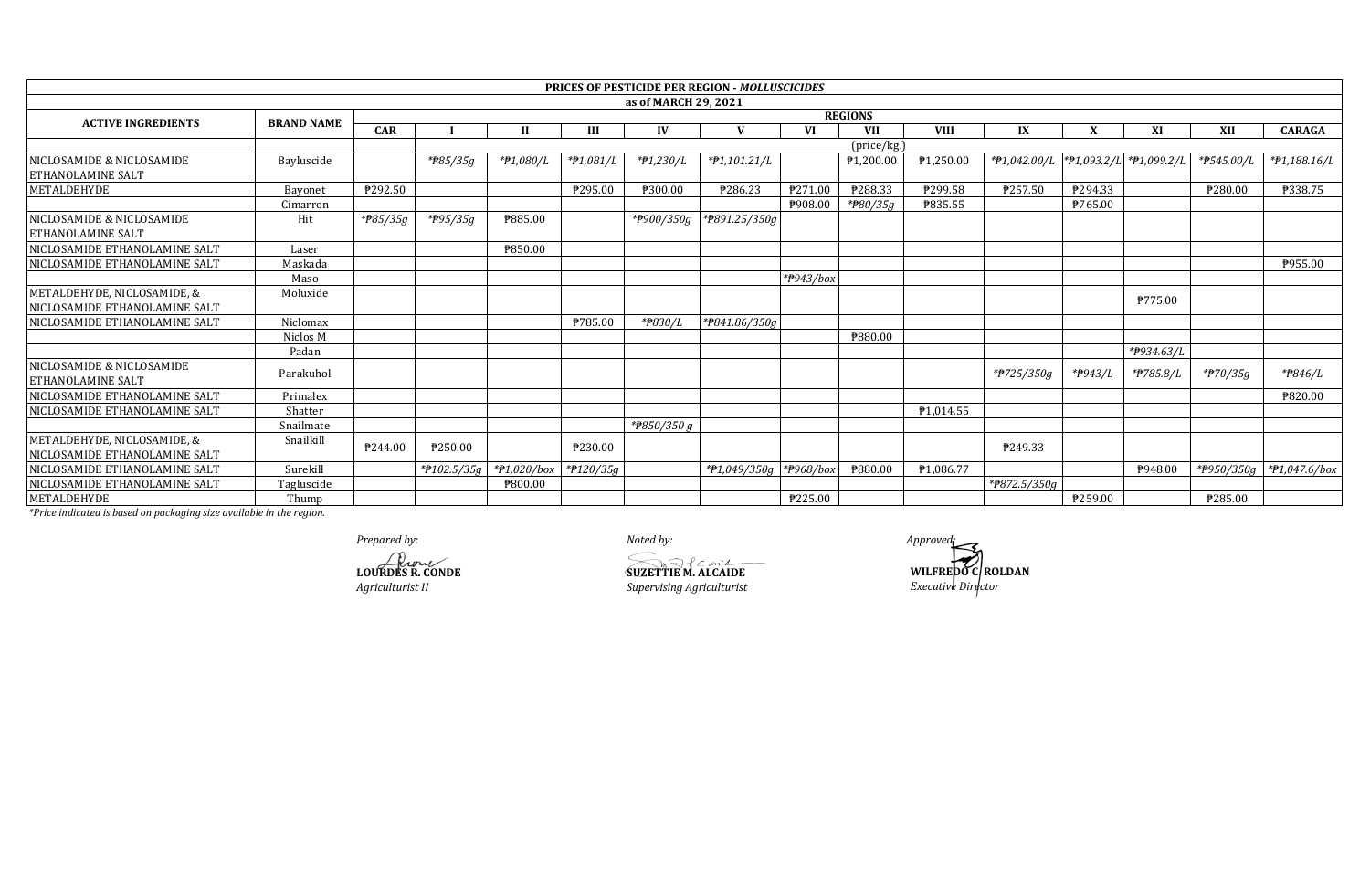|                                                              |                   |                |                       |                   |                      |                      | <b>PRICES OF PESTICIDE PER REGION - MOLLUSCICIDES</b> |           |                       |             |              |         |                         |            |                            |
|--------------------------------------------------------------|-------------------|----------------|-----------------------|-------------------|----------------------|----------------------|-------------------------------------------------------|-----------|-----------------------|-------------|--------------|---------|-------------------------|------------|----------------------------|
|                                                              |                   |                |                       |                   |                      | as of MARCH 29, 2021 |                                                       |           |                       |             |              |         |                         |            |                            |
| <b>ACTIVE INGREDIENTS</b>                                    | <b>BRAND NAME</b> | <b>REGIONS</b> |                       |                   |                      |                      |                                                       |           |                       |             |              |         |                         |            |                            |
|                                                              |                   | <b>CAR</b>     |                       | Н                 | III                  | IV                   |                                                       | VI        | <b>VII</b>            | <b>VIII</b> | IX           |         | XI                      | XII        | <b>CARAGA</b>              |
|                                                              |                   |                |                       |                   |                      |                      |                                                       |           | (price/kg.)           |             |              |         |                         |            |                            |
| NICLOSAMIDE & NICLOSAMIDE                                    | Bayluscide        |                | * <del>P</del> 85/35g | *#1,080/L         | *#1,081/L            | *#1,230/L            | *#1,101.21/L                                          |           | P1,200.00             | P1,250.00   | *P1,042.00/L |         | *#1,093.2/L *#1,099.2/L | *#545.00/L | * <del>P</del> 1,188.16/L  |
| <b>ETHANOLAMINE SALT</b>                                     |                   |                |                       |                   |                      |                      |                                                       |           |                       |             |              |         |                         |            |                            |
| METALDEHYDE                                                  | Bayonet           | ₱292.50        |                       |                   | ₱295.00              | ₱300.00              | ₱286.23                                               | P271.00   | ₱288.33               | P299.58     | P257.50      | P294.33 |                         | ₱280.00    | ₱338.75                    |
|                                                              | Cimarron          |                |                       |                   |                      |                      |                                                       | P908.00   | * <del>P</del> 80/35g | P835.55     |              | P765.00 |                         |            |                            |
| NICLOSAMIDE & NICLOSAMIDE<br><b>ETHANOLAMINE SALT</b>        | Hit               | *#85/35g       | * <del>P</del> 95/35g | <b>\\$</b> 885.00 |                      | *#900/350g           | *P891.25/350g                                         |           |                       |             |              |         |                         |            |                            |
| NICLOSAMIDE ETHANOLAMINE SALT                                | Laser             |                |                       | <b>P850.00</b>    |                      |                      |                                                       |           |                       |             |              |         |                         |            |                            |
| NICLOSAMIDE ETHANOLAMINE SALT                                | Maskada           |                |                       |                   |                      |                      |                                                       |           |                       |             |              |         |                         |            | P955.00                    |
|                                                              | Maso              |                |                       |                   |                      |                      |                                                       | *#943/box |                       |             |              |         |                         |            |                            |
| METALDEHYDE, NICLOSAMIDE, &                                  | Moluxide          |                |                       |                   |                      |                      |                                                       |           |                       |             |              |         | <b>P775.00</b>          |            |                            |
| NICLOSAMIDE ETHANOLAMINE SALT                                |                   |                |                       |                   |                      |                      |                                                       |           |                       |             |              |         |                         |            |                            |
| NICLOSAMIDE ETHANOLAMINE SALT                                | Niclomax          |                |                       |                   | <b>P785.00</b>       | *#830/L              | *P841.86/350g                                         |           |                       |             |              |         |                         |            |                            |
|                                                              | Niclos M          |                |                       |                   |                      |                      |                                                       |           | ₹880.00               |             |              |         |                         |            |                            |
|                                                              | Padan             |                |                       |                   |                      |                      |                                                       |           |                       |             |              |         | *P934.63/L              |            |                            |
| NICLOSAMIDE & NICLOSAMIDE<br><b>ETHANOLAMINE SALT</b>        | Parakuhol         |                |                       |                   |                      |                      |                                                       |           |                       |             | *#725/350g   | *#943/L | *#785.8/L               | *#70/35g   | *P846/L                    |
| NICLOSAMIDE ETHANOLAMINE SALT                                | Primalex          |                |                       |                   |                      |                      |                                                       |           |                       |             |              |         |                         |            | ₱820.00                    |
| NICLOSAMIDE ETHANOLAMINE SALT                                | Shatter           |                |                       |                   |                      |                      |                                                       |           |                       | P1,014.55   |              |         |                         |            |                            |
|                                                              | Snailmate         |                |                       |                   |                      | * $P850/350 g$       |                                                       |           |                       |             |              |         |                         |            |                            |
| METALDEHYDE, NICLOSAMIDE, &<br>NICLOSAMIDE ETHANOLAMINE SALT | Snailkill         | P244.00        | ₱250.00               |                   | ₱230.00              |                      |                                                       |           |                       |             | P249.33      |         |                         |            |                            |
| NICLOSAMIDE ETHANOLAMINE SALT                                | Surekill          |                | $*$ P102.5/35g        | *P1,020/box       | $*$ <b>P</b> 120/35g |                      | *#1,049/350g *#968/box                                |           | <b>P880.00</b>        | P1,086.77   |              |         | P948.00                 |            | *#950/350g   *#1,047.6/box |
| NICLOSAMIDE ETHANOLAMINE SALT                                | Tagluscide        |                |                       | ₹800.00           |                      |                      |                                                       |           |                       |             | *P872.5/350g |         |                         |            |                            |
| METALDEHYDE                                                  | Thump             |                |                       |                   |                      |                      |                                                       | ₱225.00   |                       |             |              | P259.00 |                         | ₱285.00    |                            |

Prepared by:

LOURDES R. CONDE Agriculturist II

Noted by:

**SUZETTIE M. ALCAIDE** Supervising Agriculturist

*Approved*<br>
WILFREDO C ROLDAN<br>
Executive Director